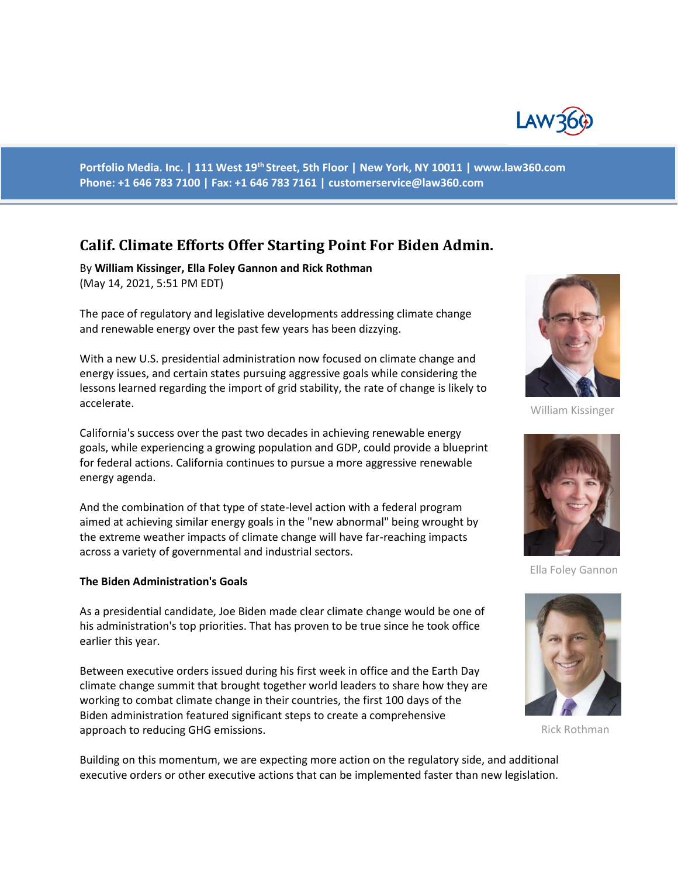

**Portfolio Media. Inc. | 111 West 19th Street, 5th Floor | New York, NY 10011 | www.law360.com Phone: +1 646 783 7100 | Fax: +1 646 783 7161 | customerservice@law360.com**

# **Calif. Climate Efforts Offer Starting Point For Biden Admin.**

By **William Kissinger, Ella Foley Gannon and Rick Rothman** (May 14, 2021, 5:51 PM EDT)

The pace of regulatory and legislative developments addressing climate change and renewable energy over the past few years has been dizzying.

With a new U.S. presidential administration now focused on climate change and energy issues, and certain states pursuing aggressive goals while considering the lessons learned regarding the import of grid stability, the rate of change is likely to accelerate.

California's success over the past two decades in achieving renewable energy goals, while experiencing a growing population and GDP, could provide a blueprint for federal actions. California continues to pursue a more aggressive renewable energy agenda.

And the combination of that type of state-level action with a federal program aimed at achieving similar energy goals in the "new abnormal" being wrought by the extreme weather impacts of climate change will have far-reaching impacts across a variety of governmental and industrial sectors.

#### **The Biden Administration's Goals**

As a presidential candidate, Joe Biden made clear climate change would be one of his administration's top priorities. That has proven to be true since he took office earlier this year.

Between executive orders issued during his first week in office and the Earth Day climate change summit that brought together world leaders to share how they are working to combat climate change in their countries, the first 100 days of the Biden administration featured significant steps to create a comprehensive approach to reducing GHG emissions.

Building on this momentum, we are expecting more action on the regulatory side, and additional executive orders or other executive actions that can be implemented faster than new legislation.



William Kissinger



Ella Foley Gannon



Rick Rothman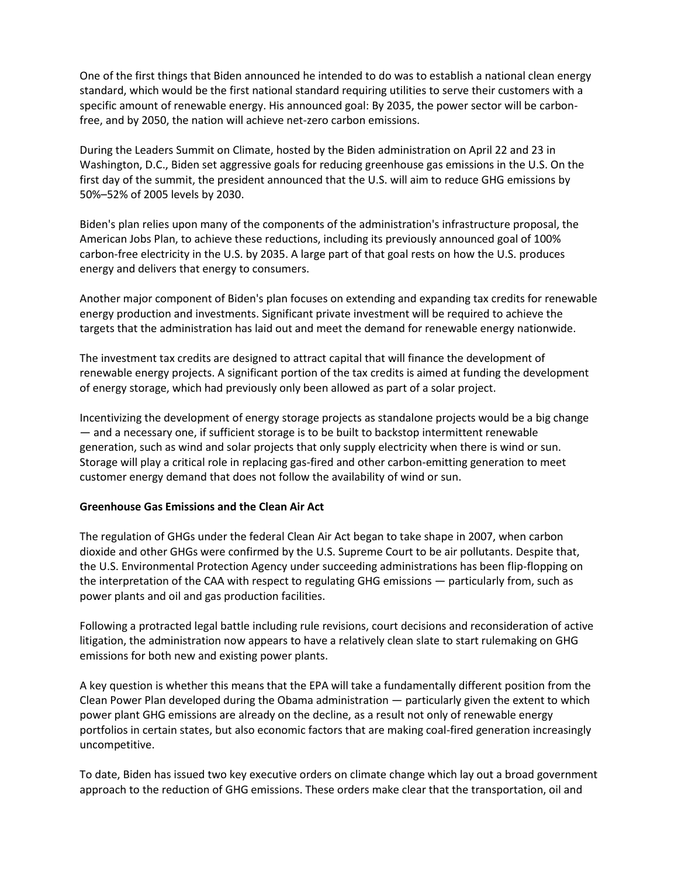One of the first things that Biden announced he intended to do was to establish a national clean energy standard, which would be the first national standard requiring utilities to serve their customers with a specific amount of renewable energy. His announced goal: By 2035, the power sector will be carbonfree, and by 2050, the nation will achieve net-zero carbon emissions.

During the Leaders Summit on Climate, hosted by the Biden administration on April 22 and 23 in Washington, D.C., Biden set aggressive goals for reducing greenhouse gas emissions in the U.S. On the first day of the summit, the president announced that the U.S. will aim to reduce GHG emissions by 50%–52% of 2005 levels by 2030.

Biden's plan relies upon many of the components of the administration's infrastructure proposal, the American Jobs Plan, to achieve these reductions, including its previously announced goal of 100% carbon-free electricity in the U.S. by 2035. A large part of that goal rests on how the U.S. produces energy and delivers that energy to consumers.

Another major component of Biden's plan focuses on extending and expanding tax credits for renewable energy production and investments. Significant private investment will be required to achieve the targets that the administration has laid out and meet the demand for renewable energy nationwide.

The investment tax credits are designed to attract capital that will finance the development of renewable energy projects. A significant portion of the tax credits is aimed at funding the development of energy storage, which had previously only been allowed as part of a solar project.

Incentivizing the development of energy storage projects as standalone projects would be a big change — and a necessary one, if sufficient storage is to be built to backstop intermittent renewable generation, such as wind and solar projects that only supply electricity when there is wind or sun. Storage will play a critical role in replacing gas-fired and other carbon-emitting generation to meet customer energy demand that does not follow the availability of wind or sun.

## **Greenhouse Gas Emissions and the Clean Air Act**

The regulation of GHGs under the federal Clean Air Act began to take shape in 2007, when carbon dioxide and other GHGs were confirmed by the U.S. Supreme Court to be air pollutants. Despite that, the U.S. Environmental Protection Agency under succeeding administrations has been flip-flopping on the interpretation of the CAA with respect to regulating GHG emissions — particularly from, such as power plants and oil and gas production facilities.

Following a protracted legal battle including rule revisions, court decisions and reconsideration of active litigation, the administration now appears to have a relatively clean slate to start rulemaking on GHG emissions for both new and existing power plants.

A key question is whether this means that the EPA will take a fundamentally different position from the Clean Power Plan developed during the Obama administration — particularly given the extent to which power plant GHG emissions are already on the decline, as a result not only of renewable energy portfolios in certain states, but also economic factors that are making coal-fired generation increasingly uncompetitive.

To date, Biden has issued two key executive orders on climate change which lay out a broad government approach to the reduction of GHG emissions. These orders make clear that the transportation, oil and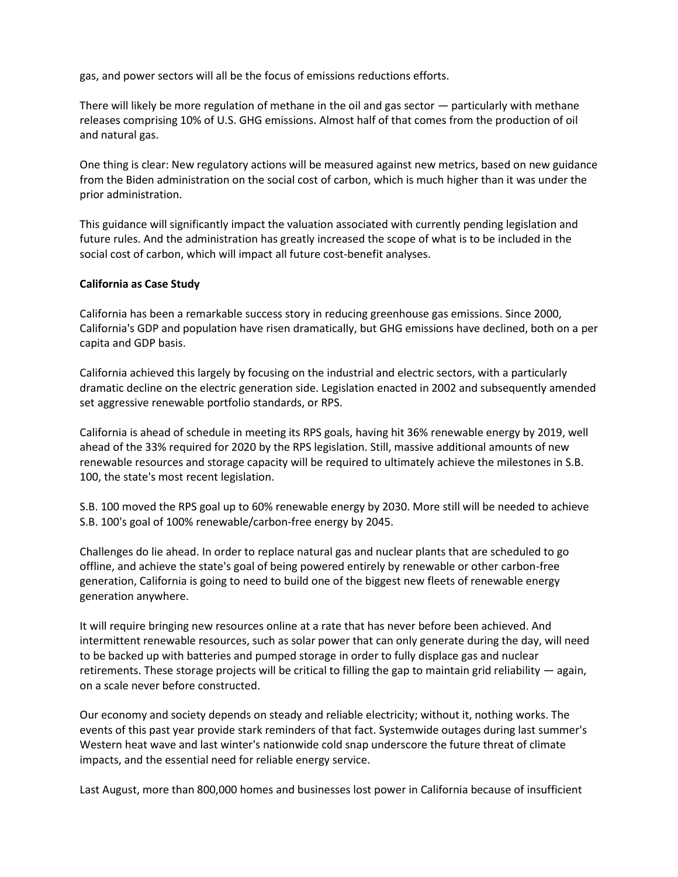gas, and power sectors will all be the focus of emissions reductions efforts.

There will likely be more regulation of methane in the oil and gas sector — particularly with methane releases comprising 10% of U.S. GHG emissions. Almost half of that comes from the production of oil and natural gas.

One thing is clear: New regulatory actions will be measured against new metrics, based on new guidance from the Biden administration on the social cost of carbon, which is much higher than it was under the prior administration.

This guidance will significantly impact the valuation associated with currently pending legislation and future rules. And the administration has greatly increased the scope of what is to be included in the social cost of carbon, which will impact all future cost-benefit analyses.

#### **California as Case Study**

California has been a remarkable success story in reducing greenhouse gas emissions. Since 2000, California's GDP and population have risen dramatically, but GHG emissions have declined, both on a per capita and GDP basis.

California achieved this largely by focusing on the industrial and electric sectors, with a particularly dramatic decline on the electric generation side. Legislation enacted in 2002 and subsequently amended set aggressive renewable portfolio standards, or RPS.

California is ahead of schedule in meeting its RPS goals, having hit 36% renewable energy by 2019, well ahead of the 33% required for 2020 by the RPS legislation. Still, massive additional amounts of new renewable resources and storage capacity will be required to ultimately achieve the milestones in S.B. 100, the state's most recent legislation.

S.B. 100 moved the RPS goal up to 60% renewable energy by 2030. More still will be needed to achieve S.B. 100's goal of 100% renewable/carbon-free energy by 2045.

Challenges do lie ahead. In order to replace natural gas and nuclear plants that are scheduled to go offline, and achieve the state's goal of being powered entirely by renewable or other carbon-free generation, California is going to need to build one of the biggest new fleets of renewable energy generation anywhere.

It will require bringing new resources online at a rate that has never before been achieved. And intermittent renewable resources, such as solar power that can only generate during the day, will need to be backed up with batteries and pumped storage in order to fully displace gas and nuclear retirements. These storage projects will be critical to filling the gap to maintain grid reliability — again, on a scale never before constructed.

Our economy and society depends on steady and reliable electricity; without it, nothing works. The events of this past year provide stark reminders of that fact. Systemwide outages during last summer's Western heat wave and last winter's nationwide cold snap underscore the future threat of climate impacts, and the essential need for reliable energy service.

Last August, more than 800,000 homes and businesses lost power in California because of insufficient